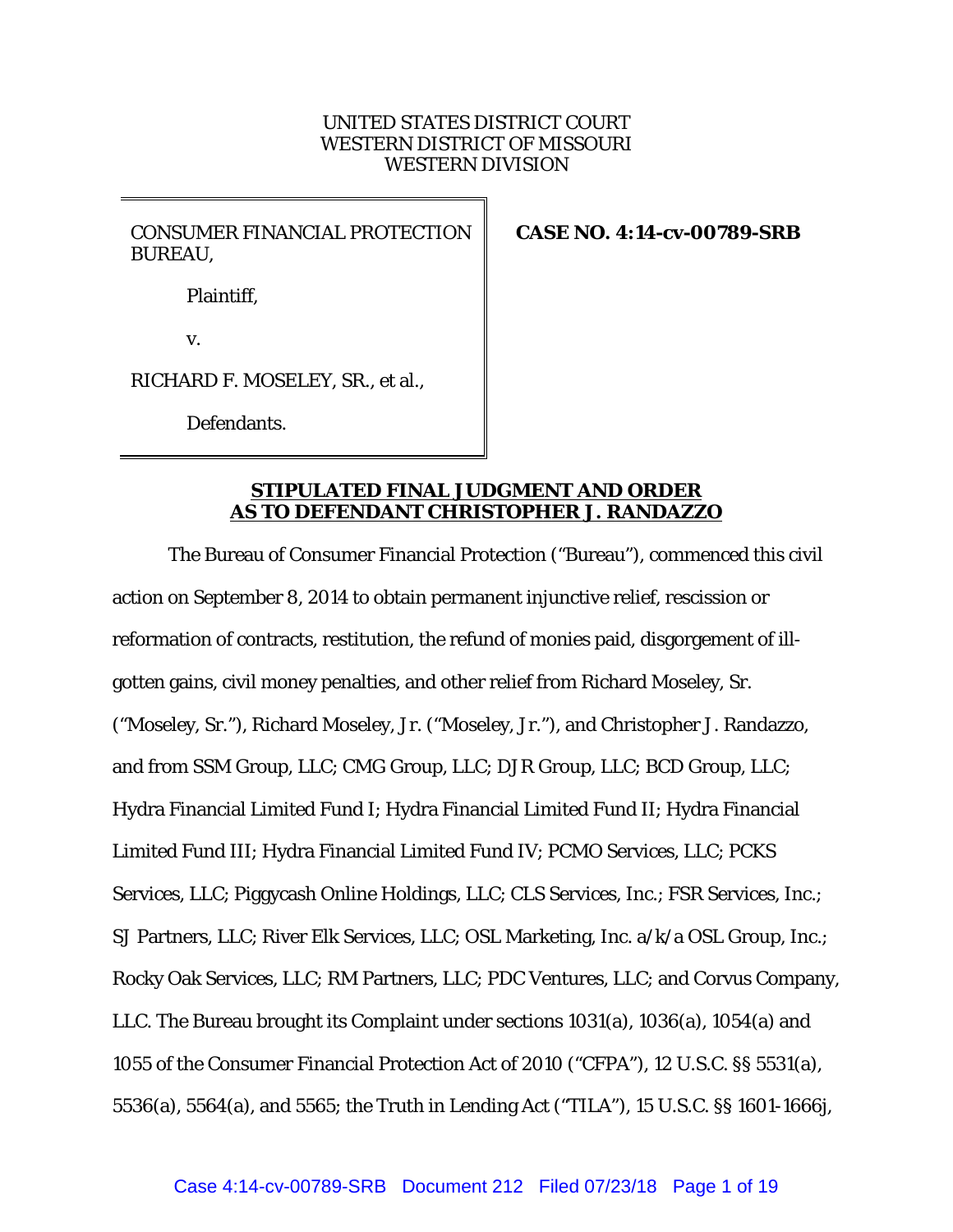# UNITED STATES DISTRICT COURT WESTERN DISTRICT OF MISSOURI WESTERN DIVISION

CONSUMER FINANCIAL PROTECTION BUREAU,

**CASE NO. 4:14-cv-00789-SRB** 

Plaintiff,

v.

RICHARD F. MOSELEY, SR., et al.,

Defendants.

# **STIPULATED FINAL JUDGMENT AND ORDER AS TO DEFENDANT CHRISTOPHER J. RANDAZZO**

The Bureau of Consumer Financial Protection ("Bureau"), commenced this civil action on September 8, 2014 to obtain permanent injunctive relief, rescission or reformation of contracts, restitution, the refund of monies paid, disgorgement of illgotten gains, civil money penalties, and other relief from Richard Moseley, Sr. ("Moseley, Sr."), Richard Moseley, Jr. ("Moseley, Jr."), and Christopher J. Randazzo, and from SSM Group, LLC; CMG Group, LLC; DJR Group, LLC; BCD Group, LLC; Hydra Financial Limited Fund I; Hydra Financial Limited Fund II; Hydra Financial Limited Fund III; Hydra Financial Limited Fund IV; PCMO Services, LLC; PCKS Services, LLC; Piggycash Online Holdings, LLC; CLS Services, Inc.; FSR Services, Inc.; SJ Partners, LLC; River Elk Services, LLC; OSL Marketing, Inc. a/k/a OSL Group, Inc.; Rocky Oak Services, LLC; RM Partners, LLC; PDC Ventures, LLC; and Corvus Company, LLC. The Bureau brought its Complaint under sections 1031(a), 1036(a), 1054(a) and 1055 of the Consumer Financial Protection Act of 2010 ("CFPA"), 12 U.S.C. §§ 5531(a), 5536(a), 5564(a), and 5565; the Truth in Lending Act ("TILA"), 15 U.S.C. §§ 1601-1666j,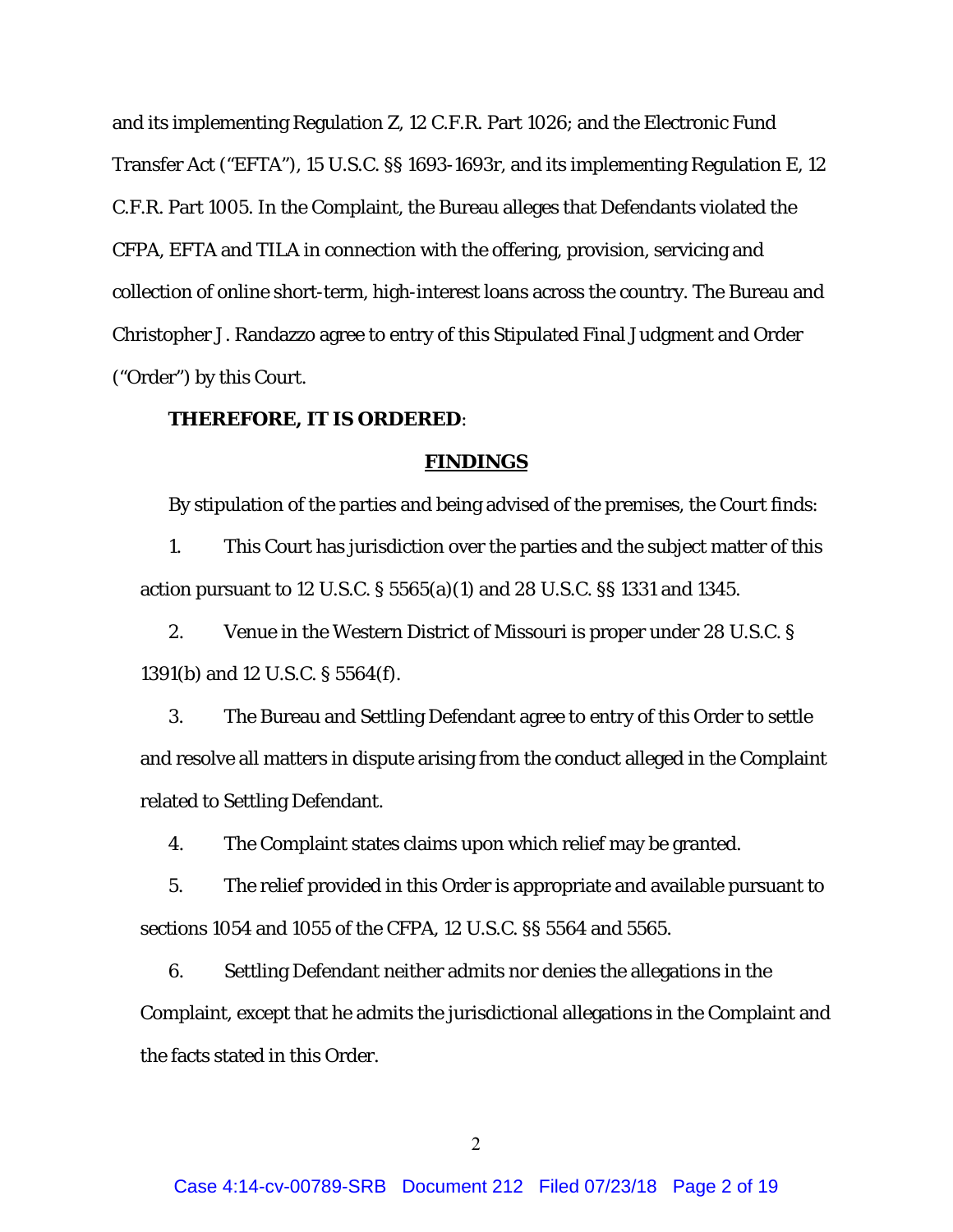and its implementing Regulation Z, 12 C.F.R. Part 1026; and the Electronic Fund Transfer Act ("EFTA"), 15 U.S.C. §§ 1693-1693r, and its implementing Regulation E, 12 C.F.R. Part 1005. In the Complaint, the Bureau alleges that Defendants violated the CFPA, EFTA and TILA in connection with the offering, provision, servicing and collection of online short-term, high-interest loans across the country. The Bureau and Christopher J. Randazzo agree to entry of this Stipulated Final Judgment and Order ("Order") by this Court.

# **THEREFORE, IT IS ORDERED**:

## **FINDINGS**

By stipulation of the parties and being advised of the premises, the Court finds:

1. This Court has jurisdiction over the parties and the subject matter of this action pursuant to 12 U.S.C. § 5565(a)(1) and 28 U.S.C. §§ 1331 and 1345.

2. Venue in the Western District of Missouri is proper under 28 U.S.C. § 1391(b) and 12 U.S.C. § 5564(f).

3. The Bureau and Settling Defendant agree to entry of this Order to settle and resolve all matters in dispute arising from the conduct alleged in the Complaint related to Settling Defendant.

4. The Complaint states claims upon which relief may be granted.

5. The relief provided in this Order is appropriate and available pursuant to sections 1054 and 1055 of the CFPA, 12 U.S.C. §§ 5564 and 5565.

6. Settling Defendant neither admits nor denies the allegations in the Complaint, except that he admits the jurisdictional allegations in the Complaint and the facts stated in this Order.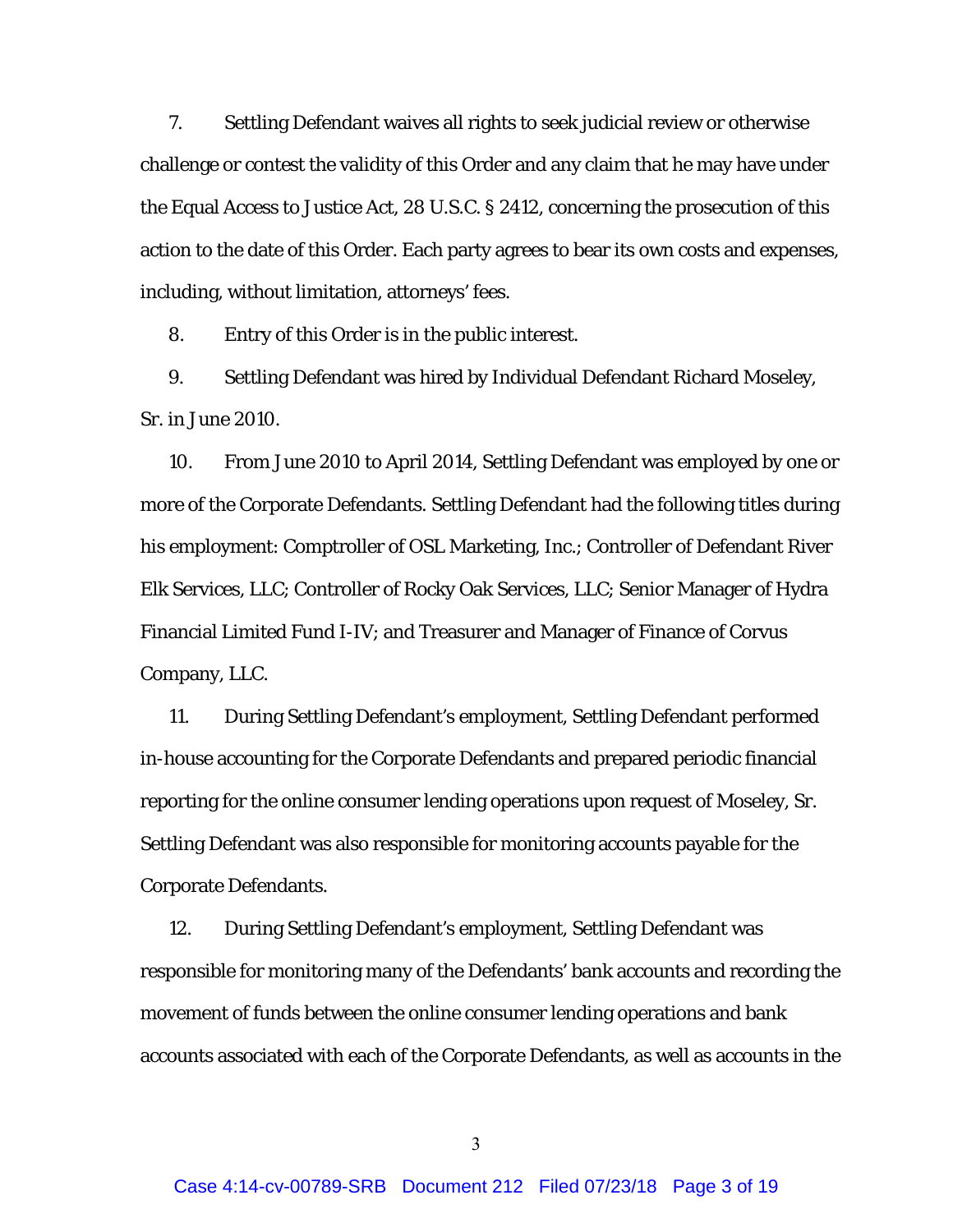7. Settling Defendant waives all rights to seek judicial review or otherwise challenge or contest the validity of this Order and any claim that he may have under the Equal Access to Justice Act, 28 U.S.C. § 2412, concerning the prosecution of this action to the date of this Order. Each party agrees to bear its own costs and expenses, including, without limitation, attorneys' fees.

8. Entry of this Order is in the public interest.

9. Settling Defendant was hired by Individual Defendant Richard Moseley, Sr. in June 2010.

10. From June 2010 to April 2014, Settling Defendant was employed by one or more of the Corporate Defendants. Settling Defendant had the following titles during his employment: Comptroller of OSL Marketing, Inc.; Controller of Defendant River Elk Services, LLC; Controller of Rocky Oak Services, LLC; Senior Manager of Hydra Financial Limited Fund I-IV; and Treasurer and Manager of Finance of Corvus Company, LLC.

11. During Settling Defendant's employment, Settling Defendant performed in-house accounting for the Corporate Defendants and prepared periodic financial reporting for the online consumer lending operations upon request of Moseley, Sr. Settling Defendant was also responsible for monitoring accounts payable for the Corporate Defendants.

12. During Settling Defendant's employment, Settling Defendant was responsible for monitoring many of the Defendants' bank accounts and recording the movement of funds between the online consumer lending operations and bank accounts associated with each of the Corporate Defendants, as well as accounts in the

3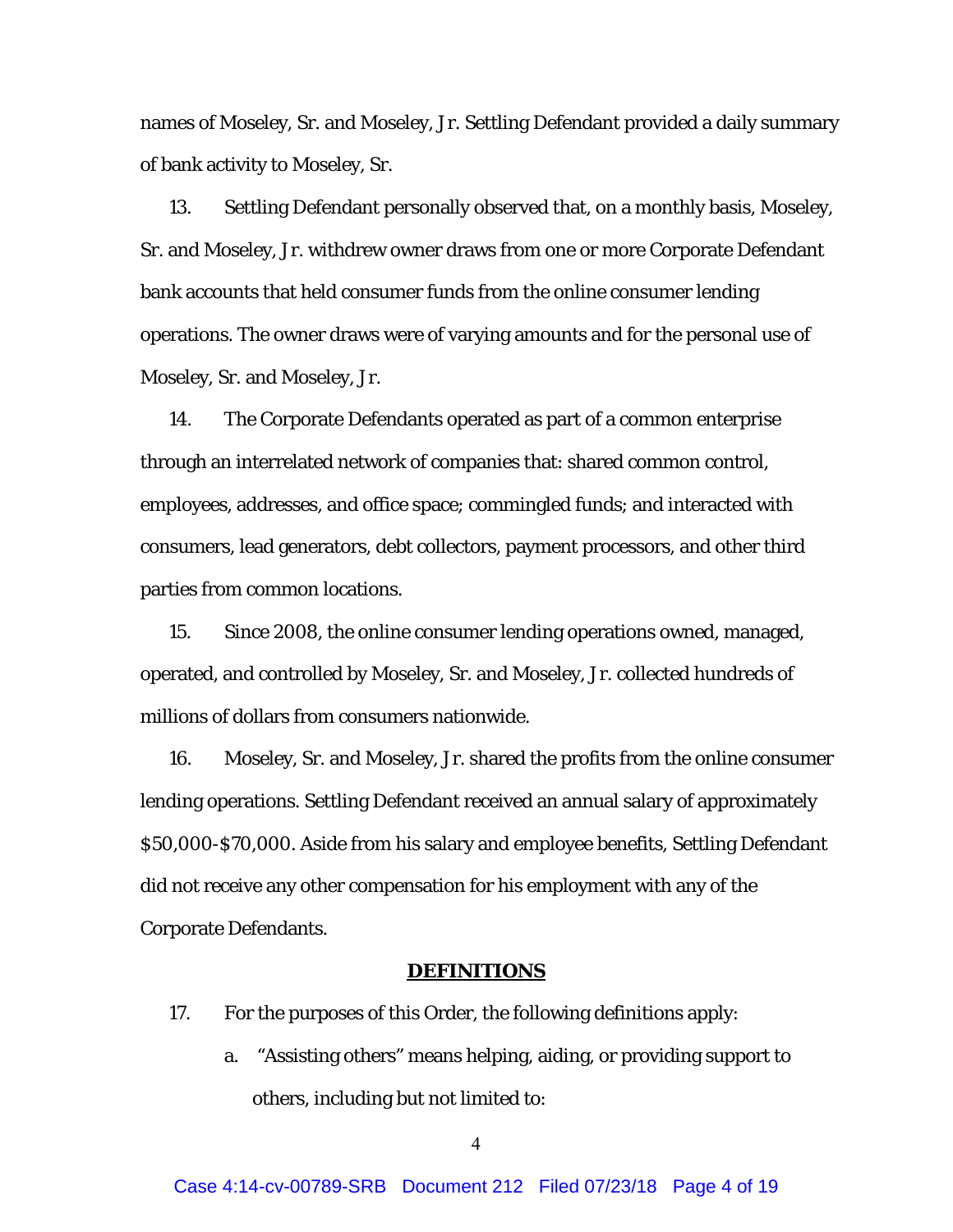names of Moseley, Sr. and Moseley, Jr. Settling Defendant provided a daily summary of bank activity to Moseley, Sr.

13. Settling Defendant personally observed that, on a monthly basis, Moseley, Sr. and Moseley, Jr. withdrew owner draws from one or more Corporate Defendant bank accounts that held consumer funds from the online consumer lending operations. The owner draws were of varying amounts and for the personal use of Moseley, Sr. and Moseley, Jr.

14. The Corporate Defendants operated as part of a common enterprise through an interrelated network of companies that: shared common control, employees, addresses, and office space; commingled funds; and interacted with consumers, lead generators, debt collectors, payment processors, and other third parties from common locations.

15. Since 2008, the online consumer lending operations owned, managed, operated, and controlled by Moseley, Sr. and Moseley, Jr. collected hundreds of millions of dollars from consumers nationwide.

16. Moseley, Sr. and Moseley, Jr. shared the profits from the online consumer lending operations. Settling Defendant received an annual salary of approximately \$50,000-\$70,000. Aside from his salary and employee benefits, Settling Defendant did not receive any other compensation for his employment with any of the Corporate Defendants.

# **DEFINITIONS**

- 17. For the purposes of this Order, the following definitions apply:
	- a. "Assisting others" means helping, aiding, or providing support to others, including but not limited to: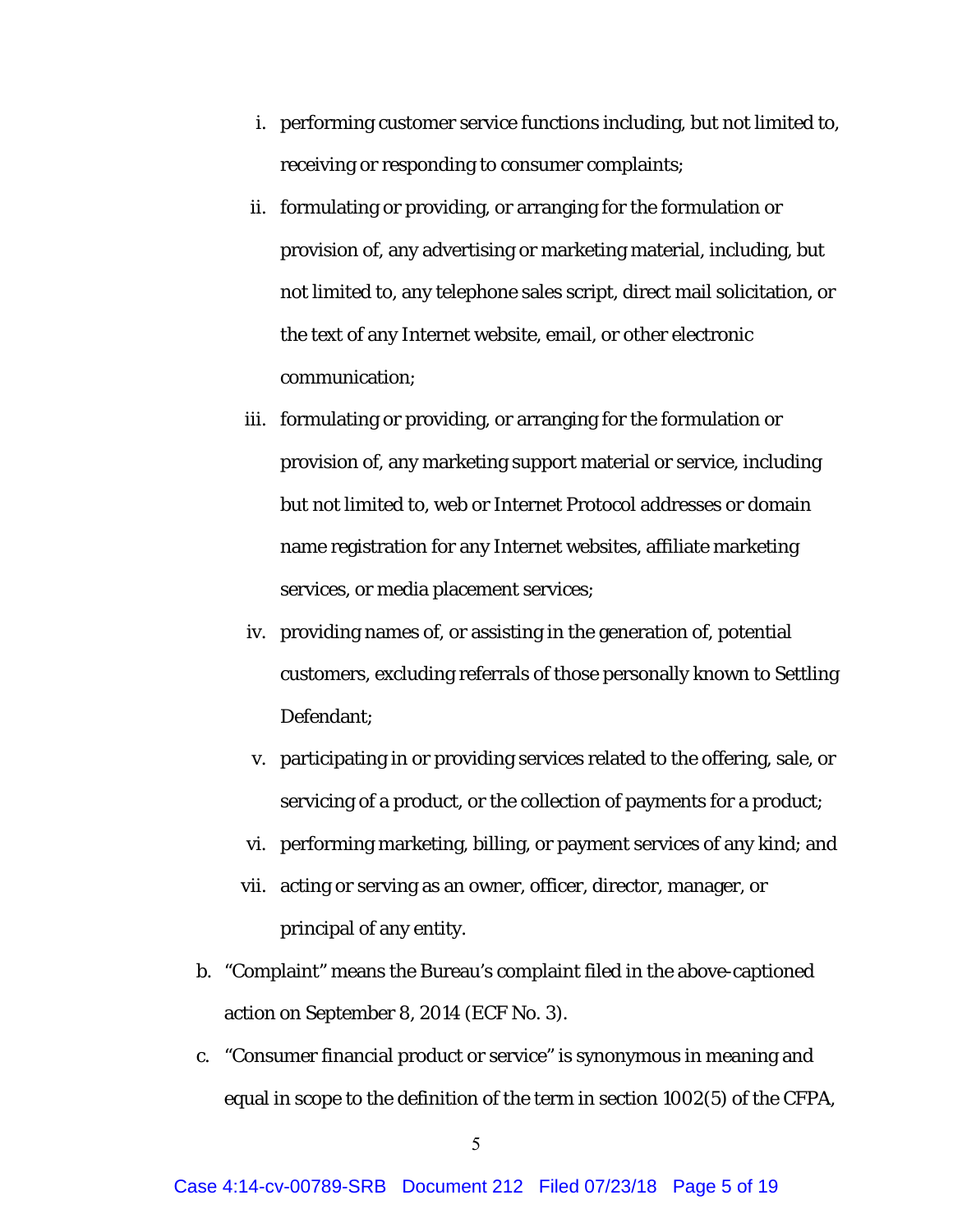- i. performing customer service functions including, but not limited to, receiving or responding to consumer complaints;
- ii. formulating or providing, or arranging for the formulation or provision of, any advertising or marketing material, including, but not limited to, any telephone sales script, direct mail solicitation, or the text of any Internet website, email, or other electronic communication;
- iii. formulating or providing, or arranging for the formulation or provision of, any marketing support material or service, including but not limited to, web or Internet Protocol addresses or domain name registration for any Internet websites, affiliate marketing services, or media placement services;
- iv. providing names of, or assisting in the generation of, potential customers, excluding referrals of those personally known to Settling Defendant;
- v. participating in or providing services related to the offering, sale, or servicing of a product, or the collection of payments for a product;
- vi. performing marketing, billing, or payment services of any kind; and
- vii. acting or serving as an owner, officer, director, manager, or principal of any entity.
- b. "Complaint" means the Bureau's complaint filed in the above-captioned action on September 8, 2014 (ECF No. 3).
- c. "Consumer financial product or service" is synonymous in meaning and equal in scope to the definition of the term in section 1002(5) of the CFPA,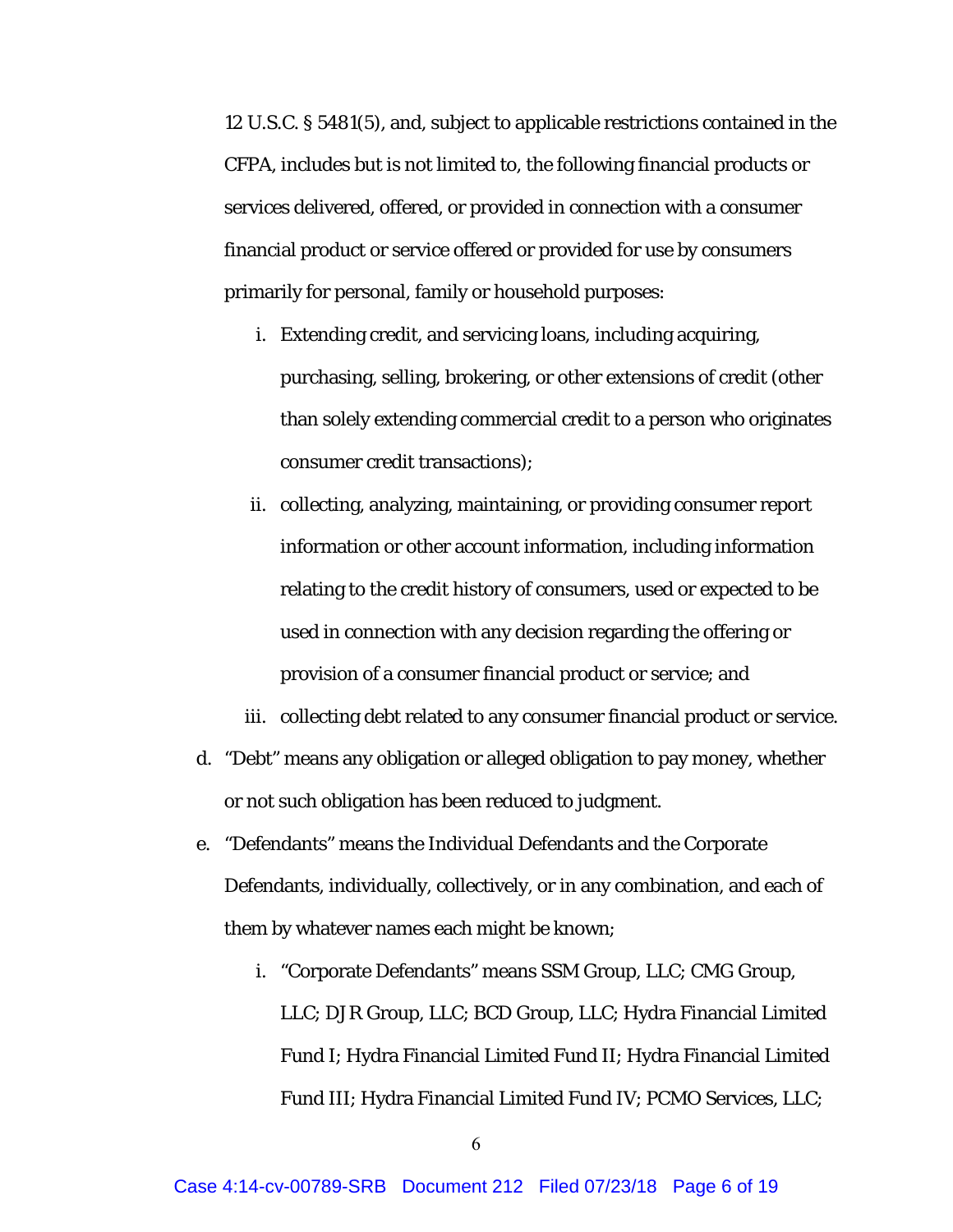12 U.S.C. § 5481(5), and, subject to applicable restrictions contained in the CFPA, includes but is not limited to, the following financial products or services delivered, offered, or provided in connection with a consumer financial product or service offered or provided for use by consumers primarily for personal, family or household purposes:

- i. Extending credit, and servicing loans, including acquiring, purchasing, selling, brokering, or other extensions of credit (other than solely extending commercial credit to a person who originates consumer credit transactions);
- ii. collecting, analyzing, maintaining, or providing consumer report information or other account information, including information relating to the credit history of consumers, used or expected to be used in connection with any decision regarding the offering or provision of a consumer financial product or service; and

iii. collecting debt related to any consumer financial product or service.

- d. "Debt" means any obligation or alleged obligation to pay money, whether or not such obligation has been reduced to judgment.
- e. "Defendants" means the Individual Defendants and the Corporate Defendants, individually, collectively, or in any combination, and each of them by whatever names each might be known;
	- i. "Corporate Defendants" means SSM Group, LLC; CMG Group, LLC; DJR Group, LLC; BCD Group, LLC; Hydra Financial Limited Fund I; Hydra Financial Limited Fund II; Hydra Financial Limited Fund III; Hydra Financial Limited Fund IV; PCMO Services, LLC;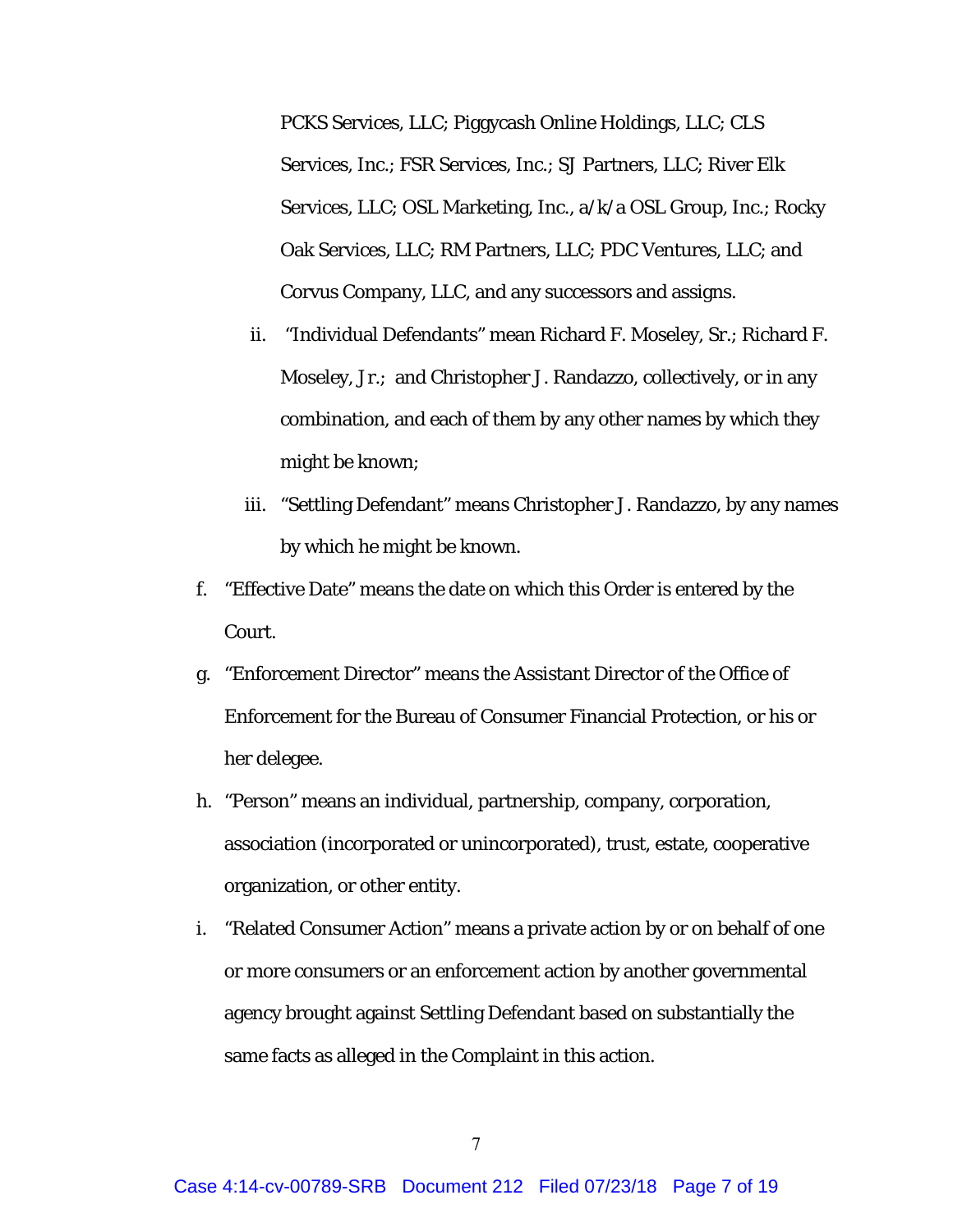PCKS Services, LLC; Piggycash Online Holdings, LLC; CLS Services, Inc.; FSR Services, Inc.; SJ Partners, LLC; River Elk Services, LLC; OSL Marketing, Inc., a/k/a OSL Group, Inc.; Rocky Oak Services, LLC; RM Partners, LLC; PDC Ventures, LLC; and Corvus Company, LLC, and any successors and assigns.

- ii. "Individual Defendants" mean Richard F. Moseley, Sr.; Richard F. Moseley, Jr.; and Christopher J. Randazzo, collectively, or in any combination, and each of them by any other names by which they might be known;
- iii. "Settling Defendant" means Christopher J. Randazzo, by any names by which he might be known.
- f. "Effective Date" means the date on which this Order is entered by the Court.
- g. "Enforcement Director" means the Assistant Director of the Office of Enforcement for the Bureau of Consumer Financial Protection, or his or her delegee.
- h. "Person" means an individual, partnership, company, corporation, association (incorporated or unincorporated), trust, estate, cooperative organization, or other entity.
- i. "Related Consumer Action" means a private action by or on behalf of one or more consumers or an enforcement action by another governmental agency brought against Settling Defendant based on substantially the same facts as alleged in the Complaint in this action.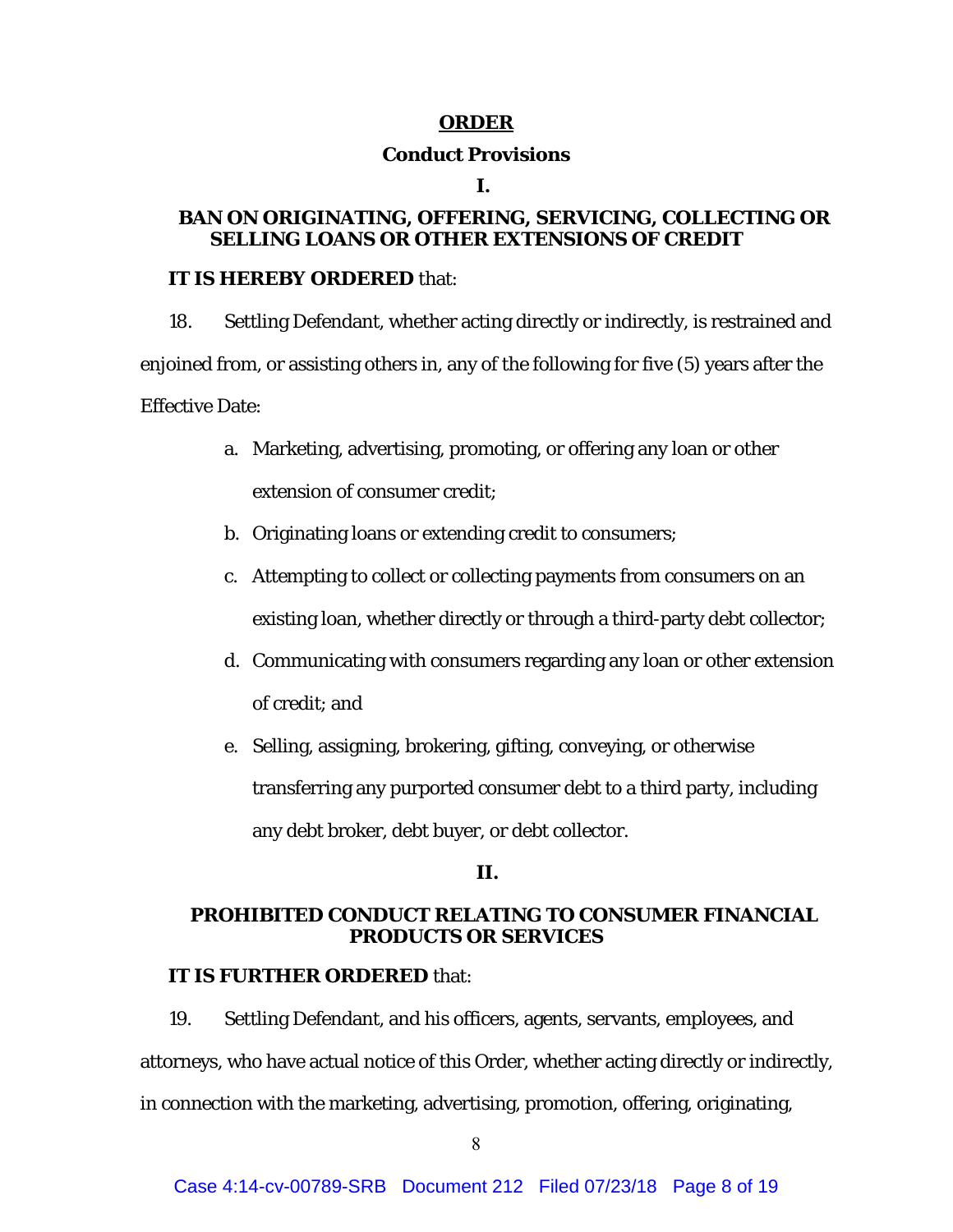## **ORDER**

## **Conduct Provisions**

#### **I.**

# **BAN ON ORIGINATING, OFFERING, SERVICING, COLLECTING OR SELLING LOANS OR OTHER EXTENSIONS OF CREDIT**

## **IT IS HEREBY ORDERED** that:

18. Settling Defendant, whether acting directly or indirectly, is restrained and enjoined from, or assisting others in, any of the following for five (5) years after the Effective Date:

- a. Marketing, advertising, promoting, or offering any loan or other extension of consumer credit;
- b. Originating loans or extending credit to consumers;
- c. Attempting to collect or collecting payments from consumers on an existing loan, whether directly or through a third-party debt collector;
- d. Communicating with consumers regarding any loan or other extension of credit; and
- e. Selling, assigning, brokering, gifting, conveying, or otherwise transferring any purported consumer debt to a third party, including any debt broker, debt buyer, or debt collector.

# **II.**

# **PROHIBITED CONDUCT RELATING TO CONSUMER FINANCIAL PRODUCTS OR SERVICES**

# **IT IS FURTHER ORDERED** that:

19. Settling Defendant, and his officers, agents, servants, employees, and attorneys, who have actual notice of this Order, whether acting directly or indirectly, in connection with the marketing, advertising, promotion, offering, originating,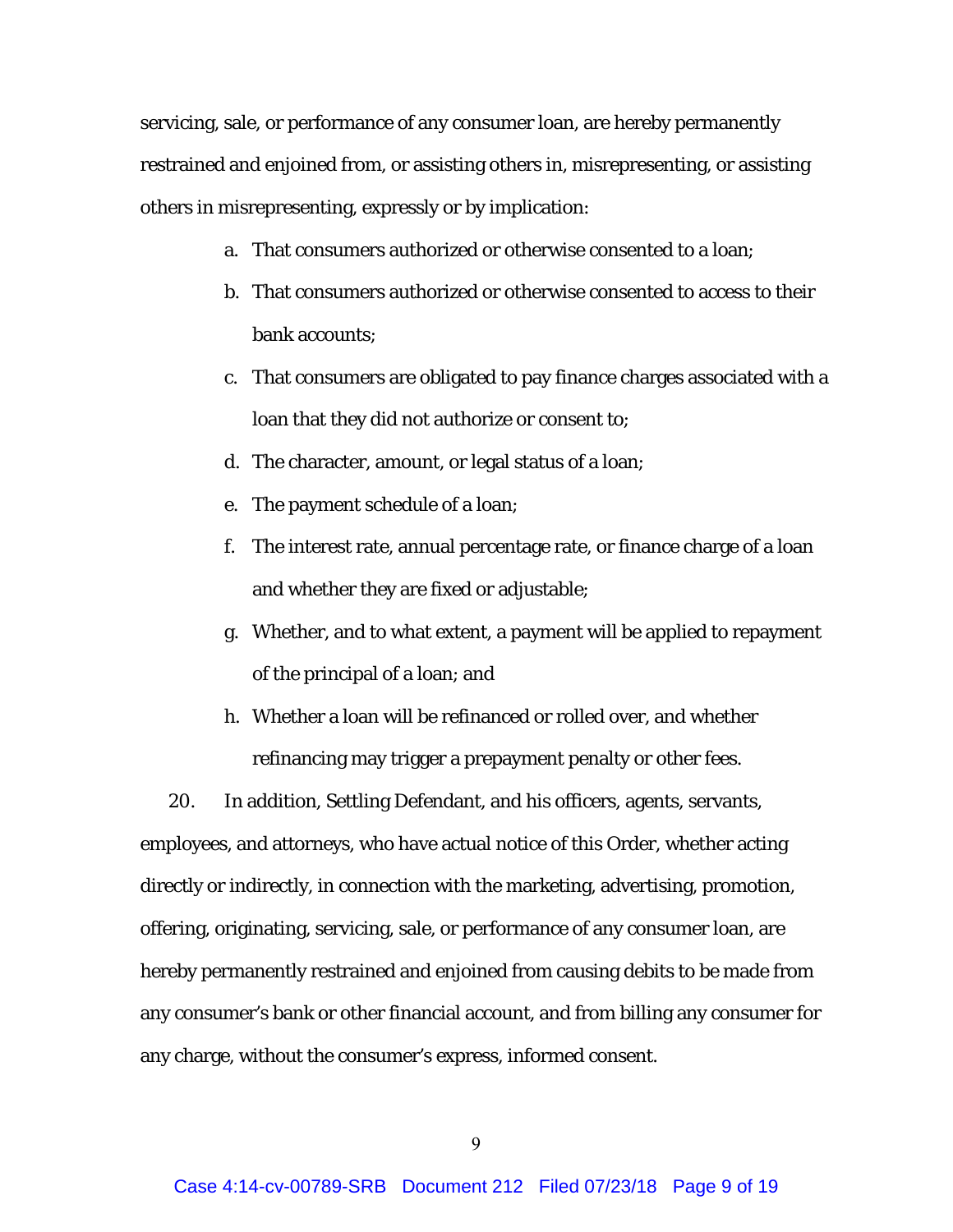servicing, sale, or performance of any consumer loan, are hereby permanently restrained and enjoined from, or assisting others in, misrepresenting, or assisting others in misrepresenting, expressly or by implication:

- a. That consumers authorized or otherwise consented to a loan;
- b. That consumers authorized or otherwise consented to access to their bank accounts;
- c. That consumers are obligated to pay finance charges associated with a loan that they did not authorize or consent to;
- d. The character, amount, or legal status of a loan;
- e. The payment schedule of a loan;
- f. The interest rate, annual percentage rate, or finance charge of a loan and whether they are fixed or adjustable;
- g. Whether, and to what extent, a payment will be applied to repayment of the principal of a loan; and
- h. Whether a loan will be refinanced or rolled over, and whether refinancing may trigger a prepayment penalty or other fees.

20. In addition, Settling Defendant, and his officers, agents, servants, employees, and attorneys, who have actual notice of this Order, whether acting directly or indirectly, in connection with the marketing, advertising, promotion, offering, originating, servicing, sale, or performance of any consumer loan, are hereby permanently restrained and enjoined from causing debits to be made from any consumer's bank or other financial account, and from billing any consumer for any charge, without the consumer's express, informed consent.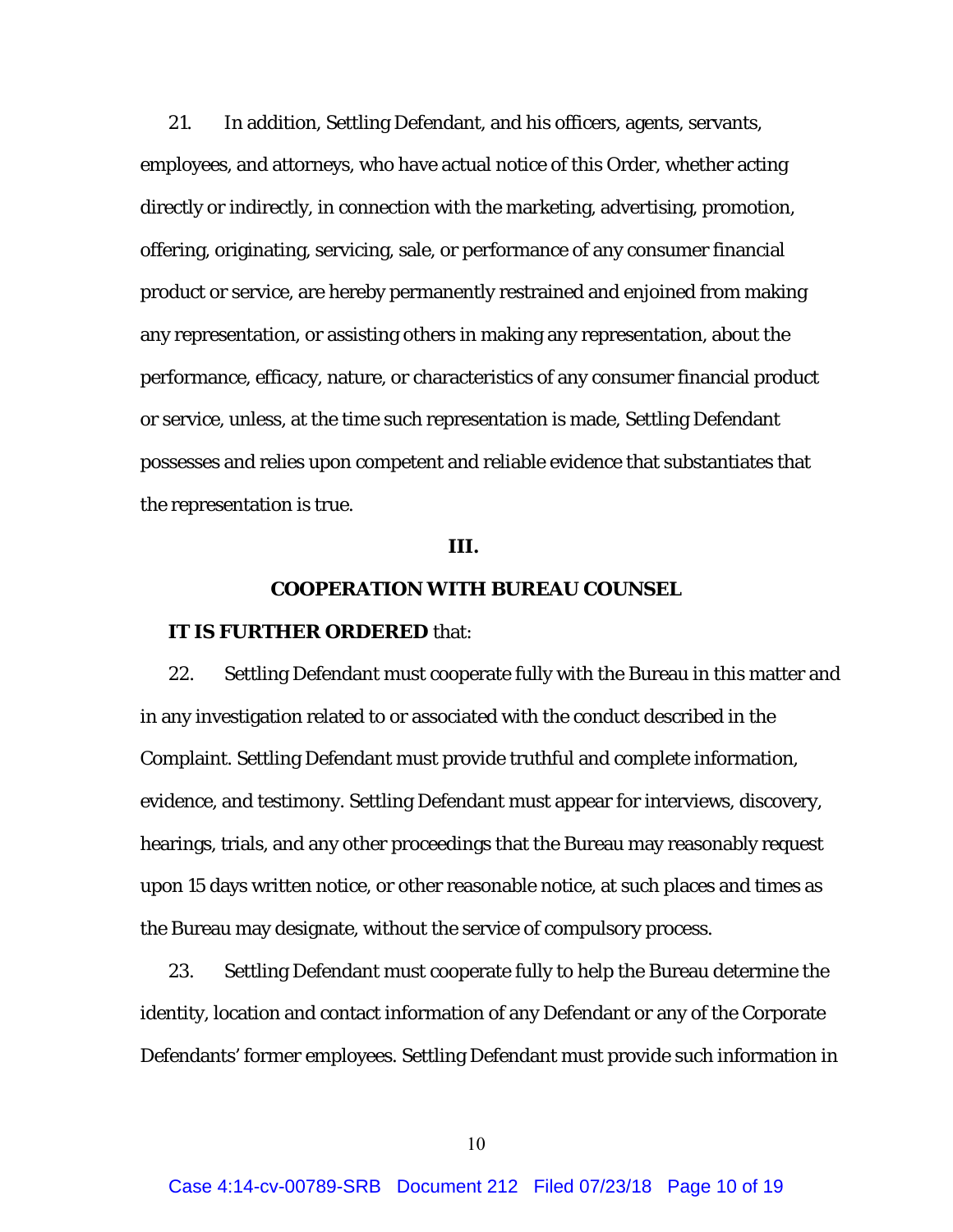21. In addition, Settling Defendant, and his officers, agents, servants, employees, and attorneys, who have actual notice of this Order, whether acting directly or indirectly, in connection with the marketing, advertising, promotion, offering, originating, servicing, sale, or performance of any consumer financial product or service, are hereby permanently restrained and enjoined from making any representation, or assisting others in making any representation, about the performance, efficacy, nature, or characteristics of any consumer financial product or service, unless, at the time such representation is made, Settling Defendant possesses and relies upon competent and reliable evidence that substantiates that the representation is true.

## **III.**

# **COOPERATION WITH BUREAU COUNSEL**

## **IT IS FURTHER ORDERED** that:

22. Settling Defendant must cooperate fully with the Bureau in this matter and in any investigation related to or associated with the conduct described in the Complaint. Settling Defendant must provide truthful and complete information, evidence, and testimony. Settling Defendant must appear for interviews, discovery, hearings, trials, and any other proceedings that the Bureau may reasonably request upon 15 days written notice, or other reasonable notice, at such places and times as the Bureau may designate, without the service of compulsory process.

23. Settling Defendant must cooperate fully to help the Bureau determine the identity, location and contact information of any Defendant or any of the Corporate Defendants' former employees. Settling Defendant must provide such information in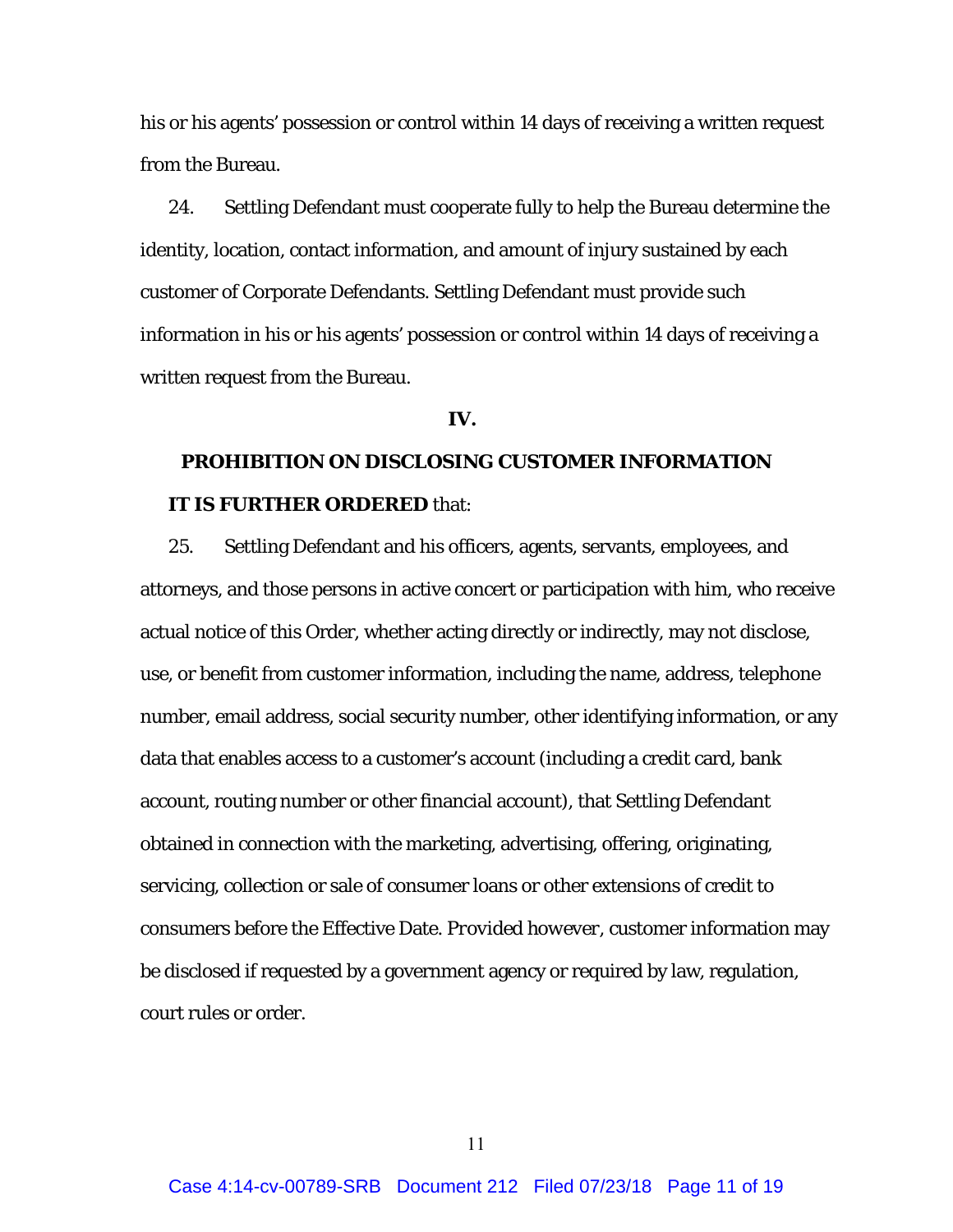his or his agents' possession or control within 14 days of receiving a written request from the Bureau.

24. Settling Defendant must cooperate fully to help the Bureau determine the identity, location, contact information, and amount of injury sustained by each customer of Corporate Defendants. Settling Defendant must provide such information in his or his agents' possession or control within 14 days of receiving a written request from the Bureau.

## **IV.**

# **PROHIBITION ON DISCLOSING CUSTOMER INFORMATION IT IS FURTHER ORDERED** that:

25. Settling Defendant and his officers, agents, servants, employees, and attorneys, and those persons in active concert or participation with him, who receive actual notice of this Order, whether acting directly or indirectly, may not disclose, use, or benefit from customer information, including the name, address, telephone number, email address, social security number, other identifying information, or any data that enables access to a customer's account (including a credit card, bank account, routing number or other financial account), that Settling Defendant obtained in connection with the marketing, advertising, offering, originating, servicing, collection or sale of consumer loans or other extensions of credit to consumers before the Effective Date. *Provided however*, customer information may be disclosed if requested by a government agency or required by law, regulation, court rules or order.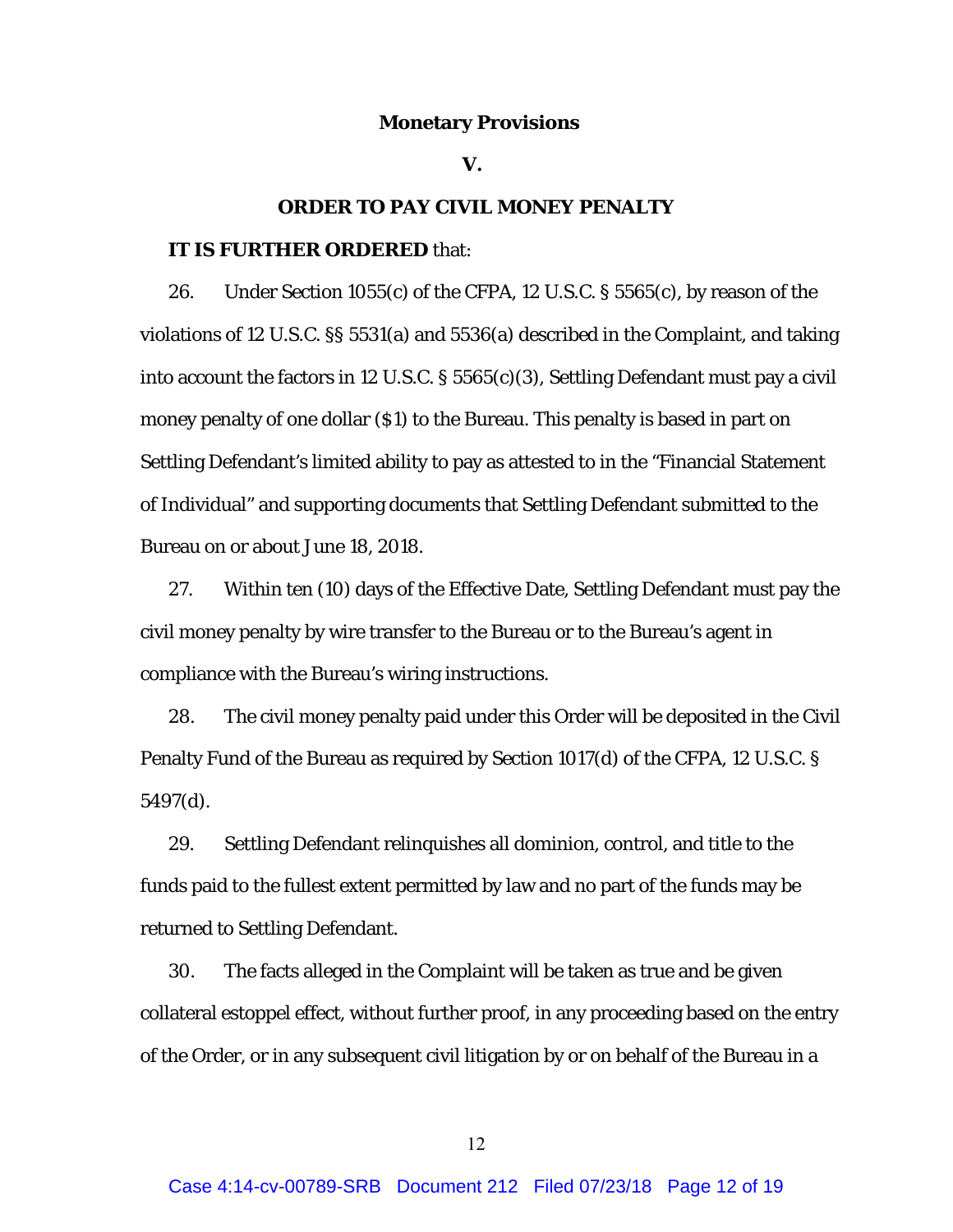#### **Monetary Provisions**

#### **V.**

## **ORDER TO PAY CIVIL MONEY PENALTY**

# **IT IS FURTHER ORDERED** that:

26. Under Section 1055(c) of the CFPA, 12 U.S.C. § 5565(c), by reason of the violations of 12 U.S.C. §§ 5531(a) and 5536(a) described in the Complaint, and taking into account the factors in 12 U.S.C. § 5565(c)(3), Settling Defendant must pay a civil money penalty of one dollar (\$1) to the Bureau. This penalty is based in part on Settling Defendant's limited ability to pay as attested to in the "Financial Statement of Individual" and supporting documents that Settling Defendant submitted to the Bureau on or about June 18, 2018.

27. Within ten (10) days of the Effective Date, Settling Defendant must pay the civil money penalty by wire transfer to the Bureau or to the Bureau's agent in compliance with the Bureau's wiring instructions.

28. The civil money penalty paid under this Order will be deposited in the Civil Penalty Fund of the Bureau as required by Section 1017(d) of the CFPA, 12 U.S.C. § 5497(d).

29. Settling Defendant relinquishes all dominion, control, and title to the funds paid to the fullest extent permitted by law and no part of the funds may be returned to Settling Defendant.

30. The facts alleged in the Complaint will be taken as true and be given collateral estoppel effect, without further proof, in any proceeding based on the entry of the Order, or in any subsequent civil litigation by or on behalf of the Bureau in a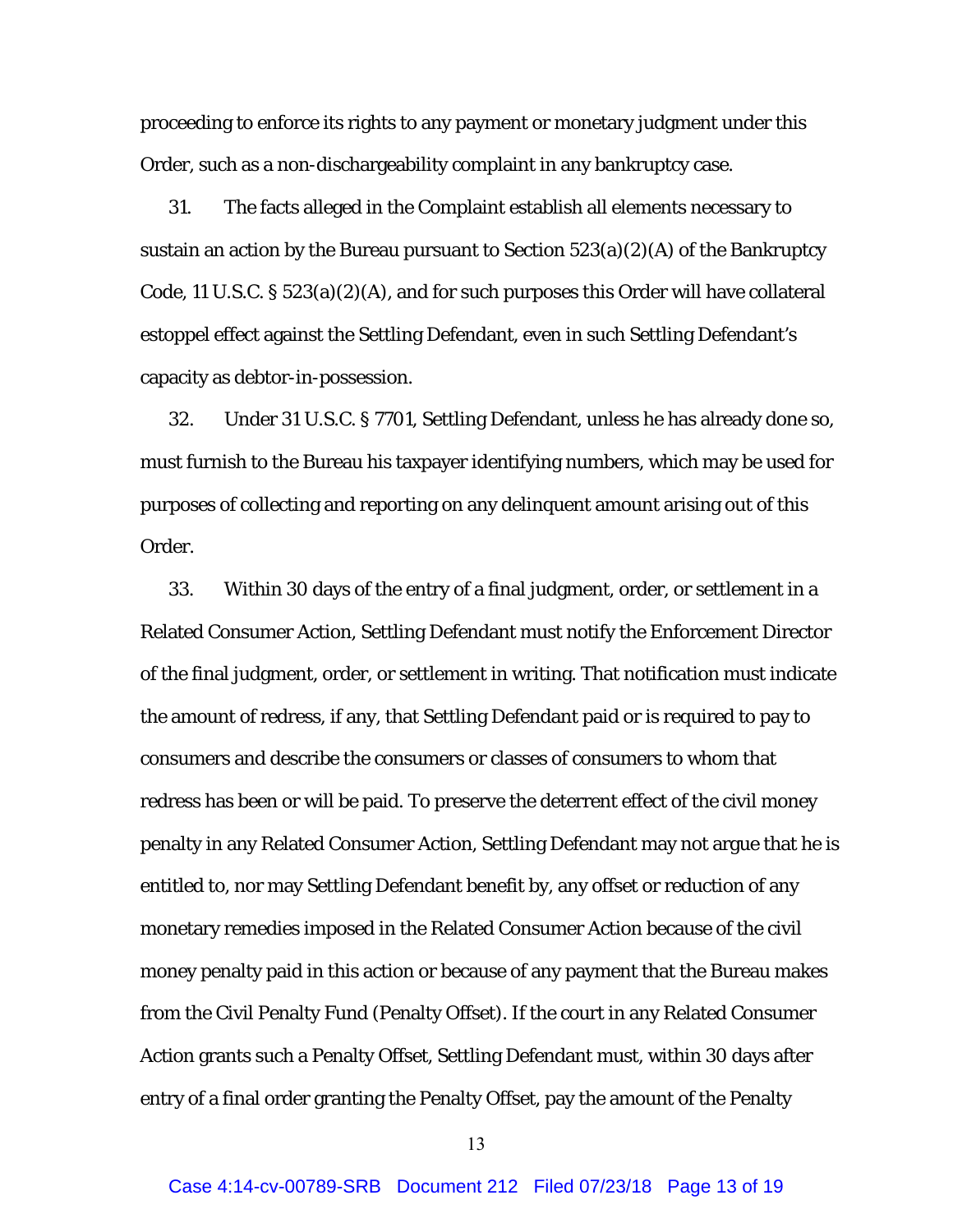proceeding to enforce its rights to any payment or monetary judgment under this Order, such as a non-dischargeability complaint in any bankruptcy case.

31. The facts alleged in the Complaint establish all elements necessary to sustain an action by the Bureau pursuant to Section 523(a)(2)(A) of the Bankruptcy Code, 11 U.S.C. § 523(a)(2)(A), and for such purposes this Order will have collateral estoppel effect against the Settling Defendant, even in such Settling Defendant's capacity as debtor-in-possession.

32. Under 31 U.S.C. § 7701, Settling Defendant, unless he has already done so, must furnish to the Bureau his taxpayer identifying numbers, which may be used for purposes of collecting and reporting on any delinquent amount arising out of this Order.

33. Within 30 days of the entry of a final judgment, order, or settlement in a Related Consumer Action, Settling Defendant must notify the Enforcement Director of the final judgment, order, or settlement in writing. That notification must indicate the amount of redress, if any, that Settling Defendant paid or is required to pay to consumers and describe the consumers or classes of consumers to whom that redress has been or will be paid. To preserve the deterrent effect of the civil money penalty in any Related Consumer Action, Settling Defendant may not argue that he is entitled to, nor may Settling Defendant benefit by, any offset or reduction of any monetary remedies imposed in the Related Consumer Action because of the civil money penalty paid in this action or because of any payment that the Bureau makes from the Civil Penalty Fund (Penalty Offset). If the court in any Related Consumer Action grants such a Penalty Offset, Settling Defendant must, within 30 days after entry of a final order granting the Penalty Offset, pay the amount of the Penalty

13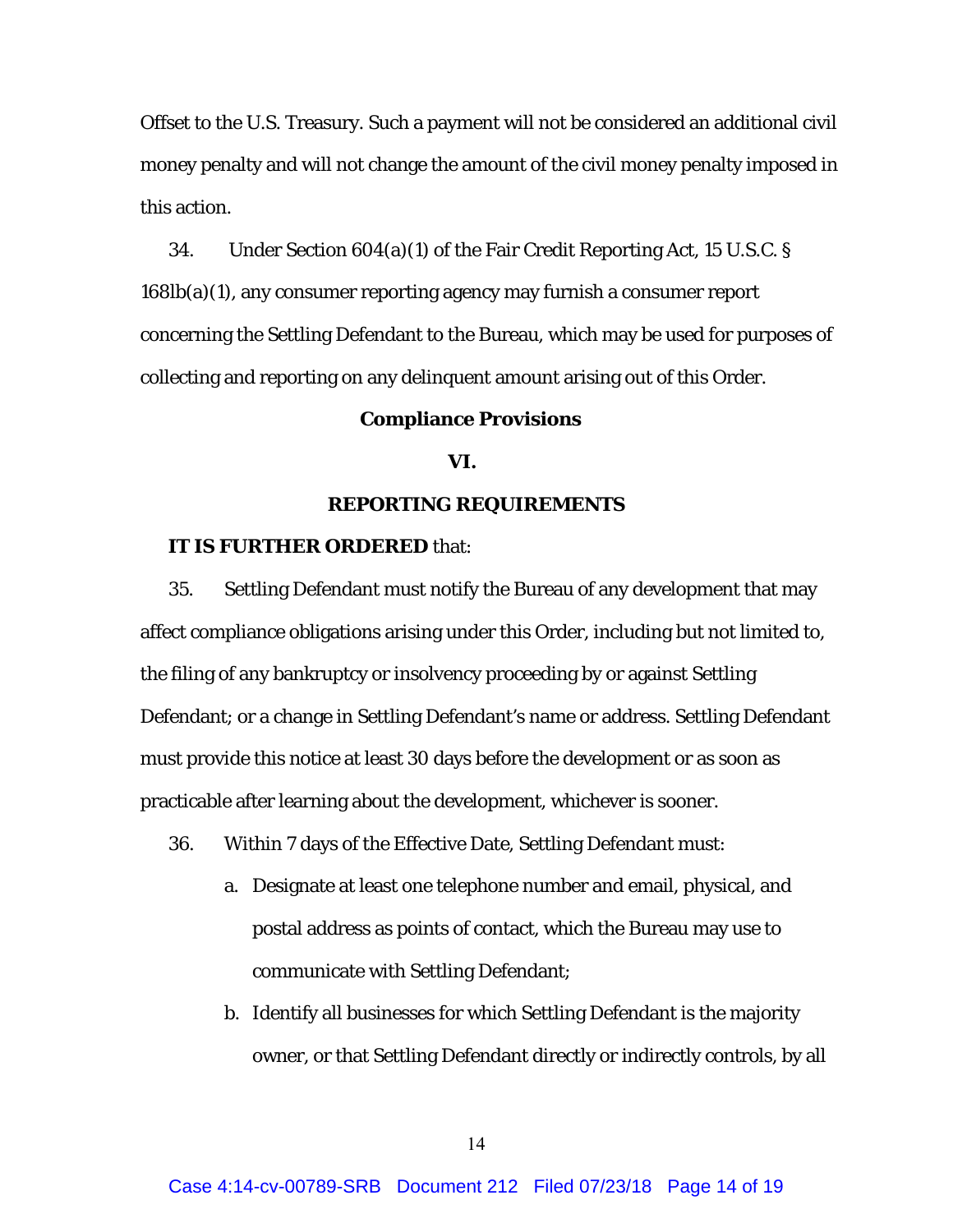Offset to the U.S. Treasury. Such a payment will not be considered an additional civil money penalty and will not change the amount of the civil money penalty imposed in this action.

34. Under Section 604(a)(1) of the Fair Credit Reporting Act, 15 U.S.C. § 168lb(a)(1), any consumer reporting agency may furnish a consumer report concerning the Settling Defendant to the Bureau, which may be used for purposes of collecting and reporting on any delinquent amount arising out of this Order.

#### **Compliance Provisions**

# **VI.**

## **REPORTING REQUIREMENTS**

#### **IT IS FURTHER ORDERED** that:

35. Settling Defendant must notify the Bureau of any development that may affect compliance obligations arising under this Order, including but not limited to, the filing of any bankruptcy or insolvency proceeding by or against Settling Defendant; or a change in Settling Defendant's name or address. Settling Defendant must provide this notice at least 30 days before the development or as soon as practicable after learning about the development, whichever is sooner.

- 36. Within 7 days of the Effective Date, Settling Defendant must:
	- a. Designate at least one telephone number and email, physical, and postal address as points of contact, which the Bureau may use to communicate with Settling Defendant;
	- b. Identify all businesses for which Settling Defendant is the majority owner, or that Settling Defendant directly or indirectly controls, by all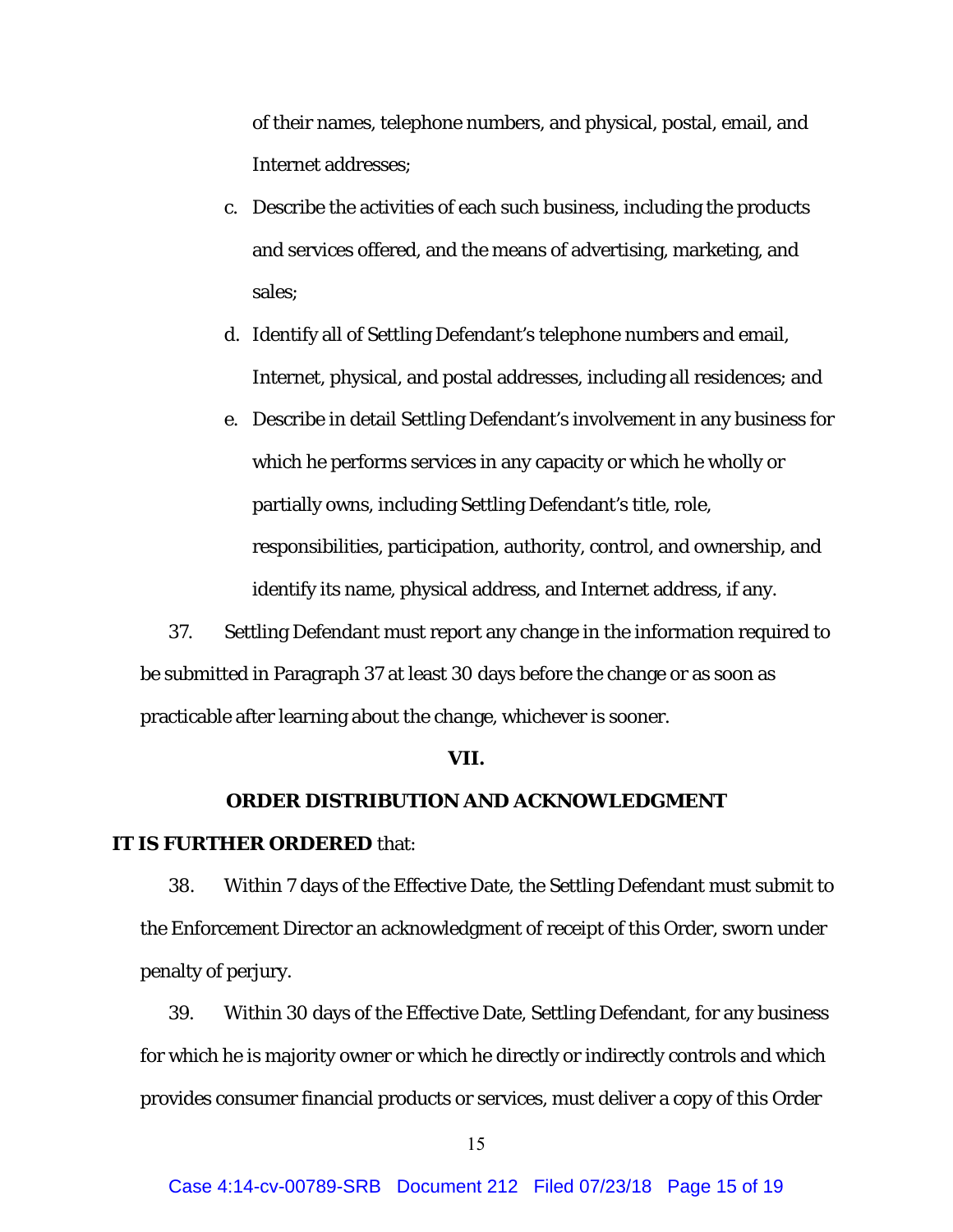of their names, telephone numbers, and physical, postal, email, and Internet addresses;

- c. Describe the activities of each such business, including the products and services offered, and the means of advertising, marketing, and sales;
- d. Identify all of Settling Defendant's telephone numbers and email, Internet, physical, and postal addresses, including all residences; and
- e. Describe in detail Settling Defendant's involvement in any business for which he performs services in any capacity or which he wholly or partially owns, including Settling Defendant's title, role, responsibilities, participation, authority, control, and ownership, and identify its name, physical address, and Internet address, if any.

37. Settling Defendant must report any change in the information required to be submitted in Paragraph 37 at least 30 days before the change or as soon as practicable after learning about the change, whichever is sooner.

#### **VII.**

# **ORDER DISTRIBUTION AND ACKNOWLEDGMENT**

## **IT IS FURTHER ORDERED** that:

38. Within 7 days of the Effective Date, the Settling Defendant must submit to the Enforcement Director an acknowledgment of receipt of this Order, sworn under penalty of perjury.

39. Within 30 days of the Effective Date, Settling Defendant, for any business for which he is majority owner or which he directly or indirectly controls and which provides consumer financial products or services, must deliver a copy of this Order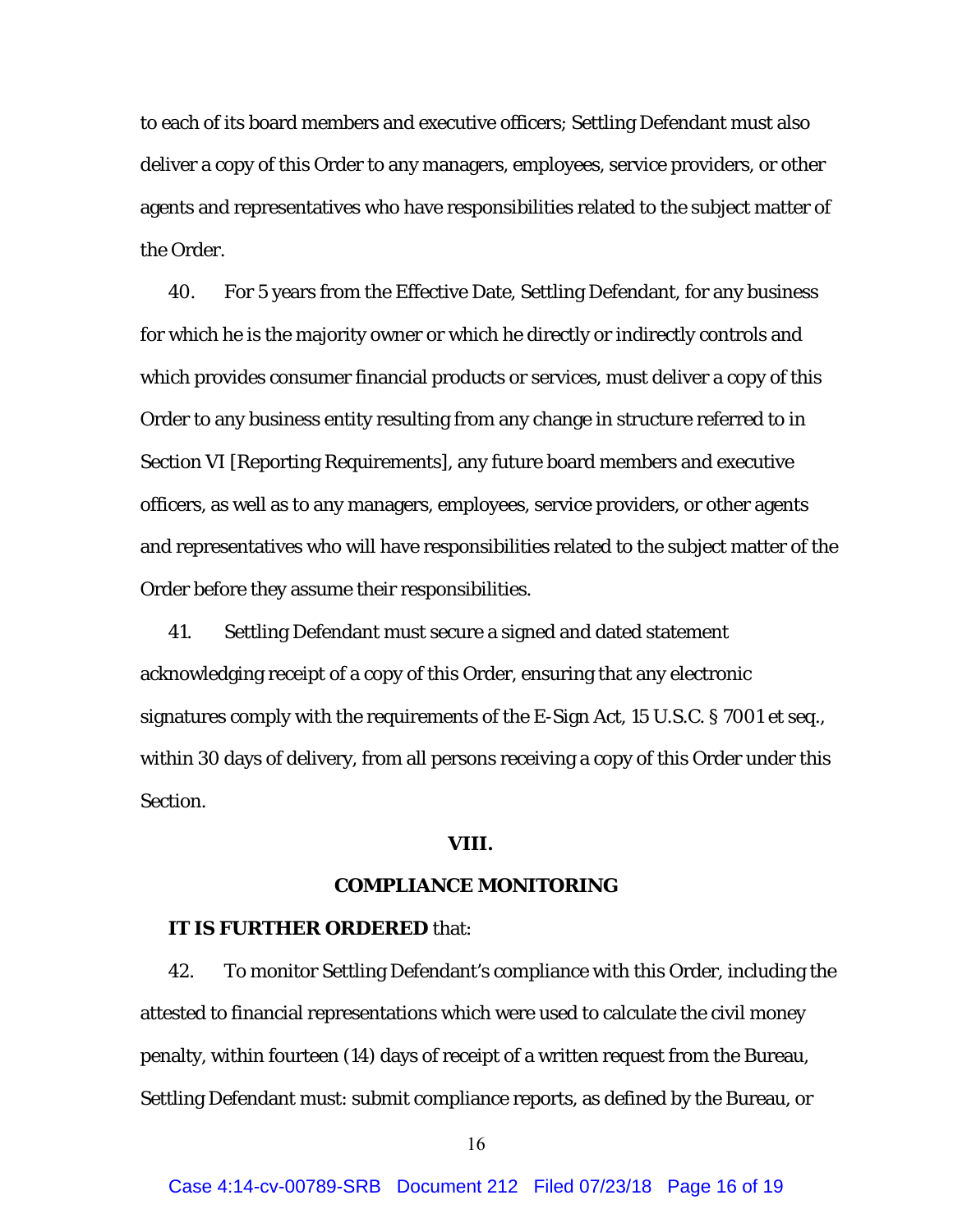to each of its board members and executive officers; Settling Defendant must also deliver a copy of this Order to any managers, employees, service providers, or other agents and representatives who have responsibilities related to the subject matter of the Order.

40. For 5 years from the Effective Date, Settling Defendant, for any business for which he is the majority owner or which he directly or indirectly controls and which provides consumer financial products or services, must deliver a copy of this Order to any business entity resulting from any change in structure referred to in Section VI [Reporting Requirements], any future board members and executive officers, as well as to any managers, employees, service providers, or other agents and representatives who will have responsibilities related to the subject matter of the Order before they assume their responsibilities.

41. Settling Defendant must secure a signed and dated statement acknowledging receipt of a copy of this Order, ensuring that any electronic signatures comply with the requirements of the E-Sign Act, 15 U.S.C. § 7001 *et seq.*, within 30 days of delivery, from all persons receiving a copy of this Order under this Section.

#### **VIII.**

## **COMPLIANCE MONITORING**

#### **IT IS FURTHER ORDERED** that:

42. To monitor Settling Defendant's compliance with this Order, including the attested to financial representations which were used to calculate the civil money penalty, within fourteen (14) days of receipt of a written request from the Bureau, Settling Defendant must: submit compliance reports, as defined by the Bureau, or

16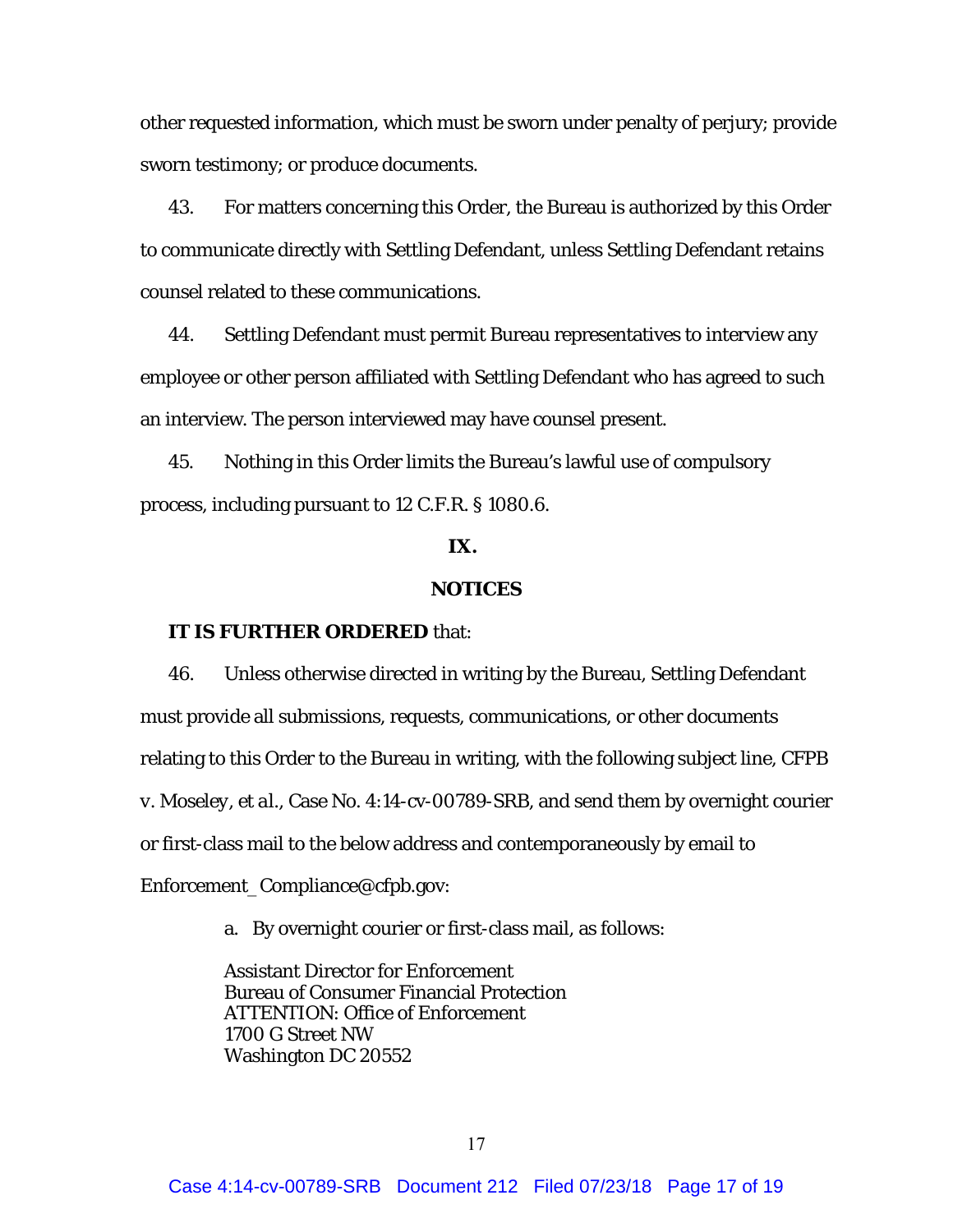other requested information, which must be sworn under penalty of perjury; provide sworn testimony; or produce documents.

43. For matters concerning this Order, the Bureau is authorized by this Order to communicate directly with Settling Defendant, unless Settling Defendant retains counsel related to these communications.

44. Settling Defendant must permit Bureau representatives to interview any employee or other person affiliated with Settling Defendant who has agreed to such an interview. The person interviewed may have counsel present.

45. Nothing in this Order limits the Bureau's lawful use of compulsory process, including pursuant to 12 C.F.R. § 1080.6.

# **IX.**

# **NOTICES**

## **IT IS FURTHER ORDERED** that:

46. Unless otherwise directed in writing by the Bureau, Settling Defendant must provide all submissions, requests, communications, or other documents relating to this Order to the Bureau in writing, with the following subject line, *CFPB v. Moseley, et al.,* Case No. 4:14-cv-00789-SRB, and send them by overnight courier or first-class mail to the below address and contemporaneously by email to Enforcement\_Compliance@cfpb.gov:

a. By overnight courier or first-class mail, as follows:

Assistant Director for Enforcement Bureau of Consumer Financial Protection ATTENTION: Office of Enforcement 1700 G Street NW Washington DC 20552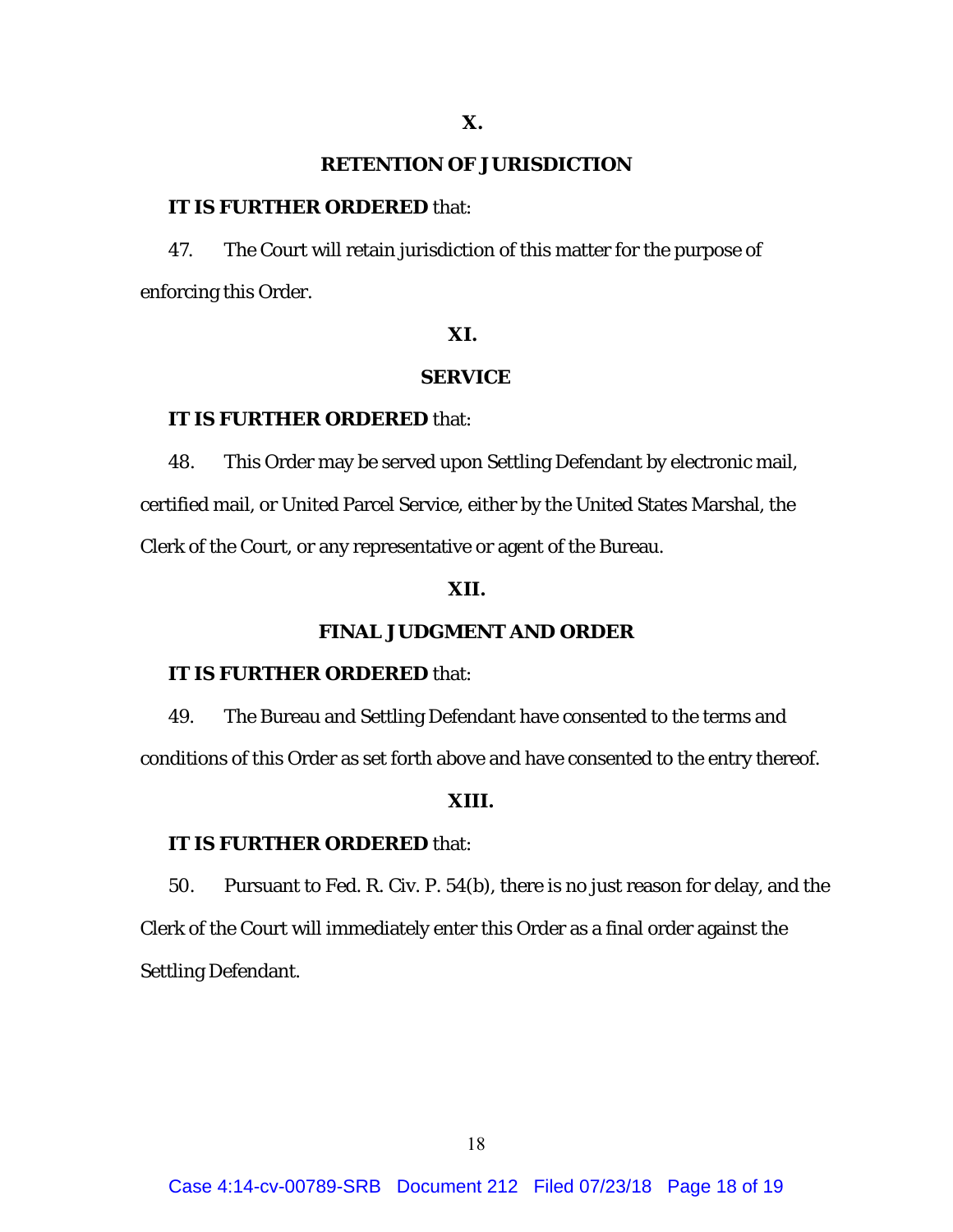# **RETENTION OF JURISDICTION**

## **IT IS FURTHER ORDERED** that:

47. The Court will retain jurisdiction of this matter for the purpose of enforcing this Order.

# **XI.**

# **SERVICE**

# **IT IS FURTHER ORDERED** that:

48. This Order may be served upon Settling Defendant by electronic mail, certified mail, or United Parcel Service, either by the United States Marshal, the Clerk of the Court, or any representative or agent of the Bureau.

# **XII.**

# **FINAL JUDGMENT AND ORDER**

## **IT IS FURTHER ORDERED** that:

49. The Bureau and Settling Defendant have consented to the terms and conditions of this Order as set forth above and have consented to the entry thereof.

## **XIII.**

#### **IT IS FURTHER ORDERED** that:

50. Pursuant to Fed. R. Civ. P. 54(b), there is no just reason for delay, and the Clerk of the Court will immediately enter this Order as a final order against the Settling Defendant.